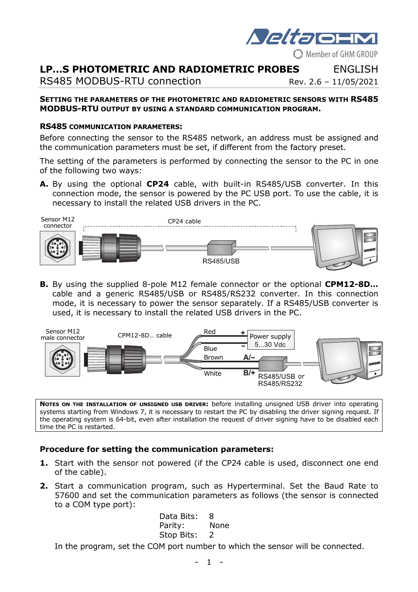

# **LP…S PHOTOMETRIC AND RADIOMETRIC PROBES** ENGLISH

RS485 MODBUS-RTU connection Rev. 2.6 - 11/05/2021

# **SETTING THE PARAMETERS OF THE PHOTOMETRIC AND RADIOMETRIC SENSORS WITH RS485**

**MODBUS-RTU OUTPUT BY USING A STANDARD COMMUNICATION PROGRAM.** 

#### **RS485 COMMUNICATION PARAMETERS:**

Before connecting the sensor to the RS485 network, an address must be assigned and the communication parameters must be set, if different from the factory preset.

The setting of the parameters is performed by connecting the sensor to the PC in one of the following two ways:

**A.** By using the optional **CP24** cable, with built-in RS485/USB converter. In this connection mode, the sensor is powered by the PC USB port. To use the cable, it is necessary to install the related USB drivers in the PC.



**B.** By using the supplied 8-pole M12 female connector or the optional **CPM12-8D…** cable and a generic RS485/USB or RS485/RS232 converter. In this connection mode, it is necessary to power the sensor separately. If a RS485/USB converter is used, it is necessary to install the related USB drivers in the PC.



**NOTES ON THE INSTALLATION OF UNSIGNED USB DRIVER:** before installing unsigned USB driver into operating systems starting from Windows 7, it is necessary to restart the PC by disabling the driver signing request. If the operating system is 64-bit, even after installation the request of driver signing have to be disabled each time the PC is restarted.

### **Procedure for setting the communication parameters:**

- **1.** Start with the sensor not powered (if the CP24 cable is used, disconnect one end of the cable).
- **2.** Start a communication program, such as Hyperterminal. Set the Baud Rate to 57600 and set the communication parameters as follows (the sensor is connected to a COM type port):

Data Bits: 8 Parity: None Stop Bits: 2

In the program, set the COM port number to which the sensor will be connected.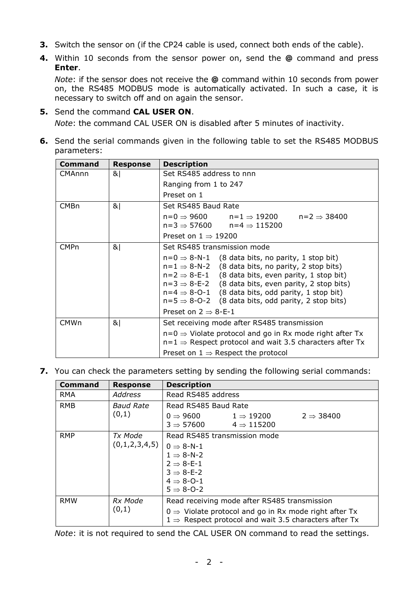- **3.** Switch the sensor on (if the CP24 cable is used, connect both ends of the cable).
- **4.** Within 10 seconds from the sensor power on, send the **@** command and press **Enter**.

*Note*: if the sensor does not receive the **@** command within 10 seconds from power on, the RS485 MODBUS mode is automatically activated. In such a case, it is necessary to switch off and on again the sensor.

- **5.** Send the command **CAL USER ON**. *Note*: the command CAL USER ON is disabled after 5 minutes of inactivity.
- **6.** Send the serial commands given in the following table to set the RS485 MODBUS parameters:

| Command          | <b>Response</b> | <b>Description</b>                                                                                                                                                                                                                                                                                                                                                                                      |  |  |
|------------------|-----------------|---------------------------------------------------------------------------------------------------------------------------------------------------------------------------------------------------------------------------------------------------------------------------------------------------------------------------------------------------------------------------------------------------------|--|--|
| CMAnnn           | 8               | Set RS485 address to nnn                                                                                                                                                                                                                                                                                                                                                                                |  |  |
|                  |                 | Ranging from 1 to 247                                                                                                                                                                                                                                                                                                                                                                                   |  |  |
|                  |                 | Preset on 1                                                                                                                                                                                                                                                                                                                                                                                             |  |  |
| CMB <sub>n</sub> | 8               | Set RS485 Baud Rate                                                                                                                                                                                                                                                                                                                                                                                     |  |  |
|                  |                 | $n=0 \Rightarrow 9600$ $n=1 \Rightarrow 19200$<br>$n=2 \Rightarrow 38400$<br>$n=3 \Rightarrow 57600$ $n=4 \Rightarrow 115200$                                                                                                                                                                                                                                                                           |  |  |
|                  |                 | Preset on $1 \Rightarrow 19200$                                                                                                                                                                                                                                                                                                                                                                         |  |  |
| <b>CMPn</b>      | 8               | Set RS485 transmission mode                                                                                                                                                                                                                                                                                                                                                                             |  |  |
|                  |                 | $n=0 \Rightarrow 8-N-1$ (8 data bits, no parity, 1 stop bit)<br>$n=1 \Rightarrow 8-N-2$ (8 data bits, no parity, 2 stop bits)<br>$n=2 \Rightarrow 8-E-1$ (8 data bits, even parity, 1 stop bit)<br>$n=3 \Rightarrow 8-E-2$ (8 data bits, even parity, 2 stop bits)<br>$n=4 \Rightarrow 8$ -O-1 (8 data bits, odd parity, 1 stop bit)<br>$n=5 \Rightarrow 8$ -O-2 (8 data bits, odd parity, 2 stop bits) |  |  |
|                  |                 | Preset on $2 \Rightarrow 8$ -E-1                                                                                                                                                                                                                                                                                                                                                                        |  |  |
| <b>CMWn</b>      | 8               | Set receiving mode after RS485 transmission                                                                                                                                                                                                                                                                                                                                                             |  |  |
|                  |                 | $n=0 \Rightarrow$ Violate protocol and go in Rx mode right after Tx<br>$n=1 \Rightarrow$ Respect protocol and wait 3.5 characters after Tx                                                                                                                                                                                                                                                              |  |  |
|                  |                 | Preset on $1 \Rightarrow$ Respect the protocol                                                                                                                                                                                                                                                                                                                                                          |  |  |

**7.** You can check the parameters setting by sending the following serial commands:

| <b>Command</b> | <b>Response</b>           | <b>Description</b>                                                                                                                                                                     |  |  |
|----------------|---------------------------|----------------------------------------------------------------------------------------------------------------------------------------------------------------------------------------|--|--|
| <b>RMA</b>     | <b>Address</b>            | Read RS485 address                                                                                                                                                                     |  |  |
| <b>RMB</b>     | <b>Baud Rate</b><br>(0,1) | Read RS485 Baud Rate                                                                                                                                                                   |  |  |
|                |                           | 0 $\Rightarrow$ 9600<br>$2 \Rightarrow 38400$<br>$1 \Rightarrow 19200$<br>$3 \Rightarrow 57600$<br>$4 \Rightarrow 115200$                                                              |  |  |
| <b>RMP</b>     | Tx Mode<br>(0,1,2,3,4,5)  | Read RS485 transmission mode                                                                                                                                                           |  |  |
|                |                           | $0 \Rightarrow 8-N-1$<br>$1 \Rightarrow 8-N-2$<br>$2 \Rightarrow 8-E-1$<br>$3 \Rightarrow 8-E-2$<br>$4 \Rightarrow 8$ -O-1<br>$5 \Rightarrow 8$ -O-2                                   |  |  |
| <b>RMW</b>     | Rx Mode<br>(0,1)          | Read receiving mode after RS485 transmission<br>$0 \Rightarrow$ Violate protocol and go in Rx mode right after Tx<br>$1 \Rightarrow$ Respect protocol and wait 3.5 characters after Tx |  |  |

*Note*: it is not required to send the CAL USER ON command to read the settings.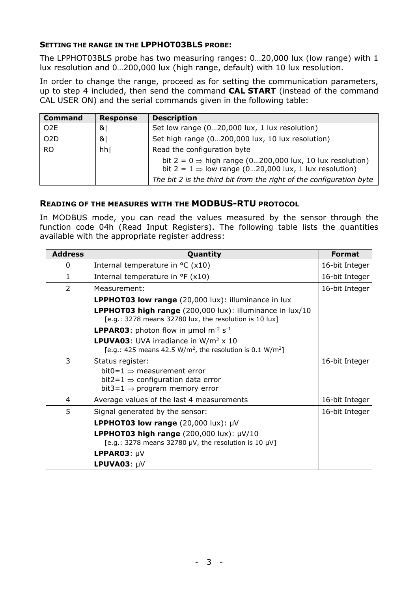### **SETTING THE RANGE IN THE LPPHOT03BLS PROBE:**

The LPPHOT03BLS probe has two measuring ranges: 0…20,000 lux (low range) with 1 lux resolution and 0…200,000 lux (high range, default) with 10 lux resolution.

In order to change the range, proceed as for setting the communication parameters, up to step 4 included, then send the command **CAL START** (instead of the command CAL USER ON) and the serial commands given in the following table:

| <b>Command</b>   | <b>Response</b> | <b>Description</b>                                                                                                                        |  |
|------------------|-----------------|-------------------------------------------------------------------------------------------------------------------------------------------|--|
| O <sub>2</sub> E | 8 <sub>l</sub>  | Set low range (020,000 lux, 1 lux resolution)                                                                                             |  |
| O <sub>2</sub> D | &।              | Set high range (0200,000 lux, 10 lux resolution)                                                                                          |  |
| <b>RO</b>        | hh              | Read the configuration byte                                                                                                               |  |
|                  |                 | bit $2 = 0 \Rightarrow$ high range (0200,000 lux, 10 lux resolution)<br>bit $2 = 1 \Rightarrow$ low range (020,000 lux, 1 lux resolution) |  |
|                  |                 | The bit 2 is the third bit from the right of the configuration byte                                                                       |  |

### **READING OF THE MEASURES WITH THE MODBUS-RTU PROTOCOL**

In MODBUS mode, you can read the values measured by the sensor through the function code 04h (Read Input Registers). The following table lists the quantities available with the appropriate register address:

| <b>Address</b> | Quantity                                                                                                                                                 | <b>Format</b>  |
|----------------|----------------------------------------------------------------------------------------------------------------------------------------------------------|----------------|
| 0              | Internal temperature in $\degree$ C (x10)                                                                                                                | 16-bit Integer |
| 1.             | Internal temperature in $\degree$ F (x10)                                                                                                                | 16-bit Integer |
| 2              | Measurement:                                                                                                                                             | 16-bit Integer |
|                | <b>LPPHOT03 low range</b> (20,000 lux): illuminance in lux                                                                                               |                |
|                | LPPHOT03 high range (200,000 lux): illuminance in lux/10<br>[e.g.: 3278 means 32780 lux, the resolution is 10 lux]                                       |                |
|                | <b>LPPAR03:</b> photon flow in $\mu$ mol m <sup>-2</sup> s <sup>-1</sup>                                                                                 |                |
|                | <b>LPUVA03:</b> UVA irradiance in $W/m^2 \times 10$<br>[e.g.: 425 means 42.5 W/m <sup>2</sup> , the resolution is 0.1 W/m <sup>2</sup> ]                 |                |
| 3              | Status register:<br>bit0=1 $\Rightarrow$ measurement error<br>bit2=1 $\Rightarrow$ configuration data error<br>bit3=1 $\Rightarrow$ program memory error | 16-bit Integer |
| 4              | Average values of the last 4 measurements                                                                                                                | 16-bit Integer |
| 5              | Signal generated by the sensor:                                                                                                                          | 16-bit Integer |
|                | <b>LPPHOT03 low range</b> (20,000 lux): $\mu$ V                                                                                                          |                |
|                | <b>LPPHOT03 high range</b> (200,000 lux): $\mu$ V/10<br>[e.g.: 3278 means 32780 $\mu$ V, the resolution is 10 $\mu$ V]                                   |                |
|                | <b>LPPAR03: <math>\mu</math>V</b>                                                                                                                        |                |
|                | LPUVA03: $\mu$ V                                                                                                                                         |                |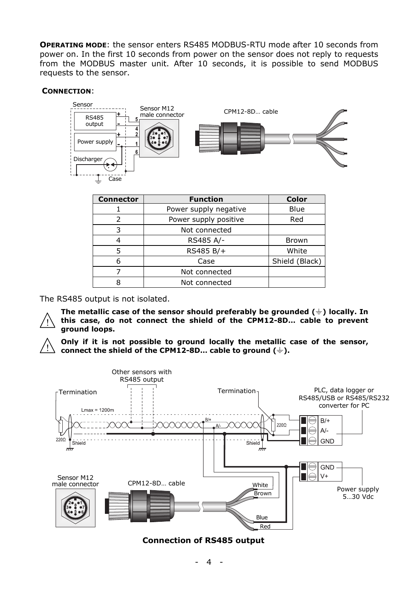**OPERATING MODE**: the sensor enters RS485 MODBUS-RTU mode after 10 seconds from power on. In the first 10 seconds from power on the sensor does not reply to requests from the MODBUS master unit. After 10 seconds, it is possible to send MODBUS requests to the sensor.

#### **CONNECTION**:



| <b>Connector</b> | <b>Function</b>       | <b>Color</b>   |
|------------------|-----------------------|----------------|
|                  | Power supply negative | Blue           |
|                  | Power supply positive | Red            |
| 3                | Not connected         |                |
|                  | RS485 A/-             | <b>Brown</b>   |
| 5                | RS485 B/+             | White          |
| 6                | Case                  | Shield (Black) |
|                  | Not connected         |                |
| ឧ                | Not connected         |                |

The RS485 output is not isolated.

The metallic case of the sensor should preferably be grounded  $(\frac{1}{n})$  locally. In **this case, do not connect the shield of the CPM12-8D… cable to prevent ground loops.** 

**Only if it is not possible to ground locally the metallic case of the sensor,**  connect the shield of the CPM12-8D... cable to ground  $(\frac{1}{2})$ .



## **Connection of RS485 output**